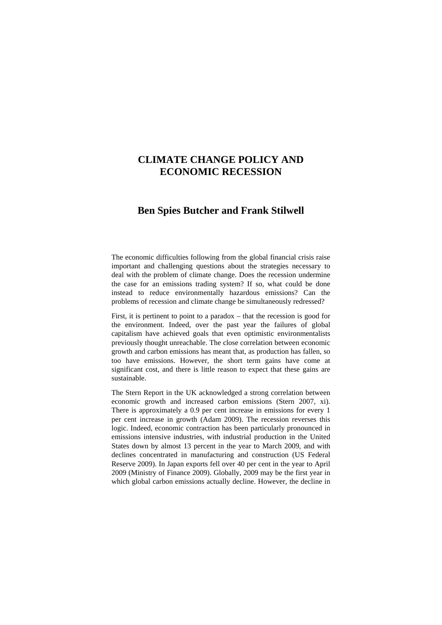# **CLIMATE CHANGE POLICY AND ECONOMIC RECESSION**

## **Ben Spies Butcher and Frank Stilwell**

The economic difficulties following from the global financial crisis raise important and challenging questions about the strategies necessary to deal with the problem of climate change. Does the recession undermine the case for an emissions trading system? If so, what could be done instead to reduce environmentally hazardous emissions? Can the problems of recession and climate change be simultaneously redressed?

First, it is pertinent to point to a paradox – that the recession is good for the environment. Indeed, over the past year the failures of global capitalism have achieved goals that even optimistic environmentalists previously thought unreachable. The close correlation between economic growth and carbon emissions has meant that, as production has fallen, so too have emissions. However, the short term gains have come at significant cost, and there is little reason to expect that these gains are sustainable.

The Stern Report in the UK acknowledged a strong correlation between economic growth and increased carbon emissions (Stern 2007, xi). There is approximately a 0.9 per cent increase in emissions for every 1 per cent increase in growth (Adam 2009). The recession reverses this logic. Indeed, economic contraction has been particularly pronounced in emissions intensive industries, with industrial production in the United States down by almost 13 percent in the year to March 2009, and with declines concentrated in manufacturing and construction (US Federal Reserve 2009). In Japan exports fell over 40 per cent in the year to April 2009 (Ministry of Finance 2009). Globally, 2009 may be the first year in which global carbon emissions actually decline. However, the decline in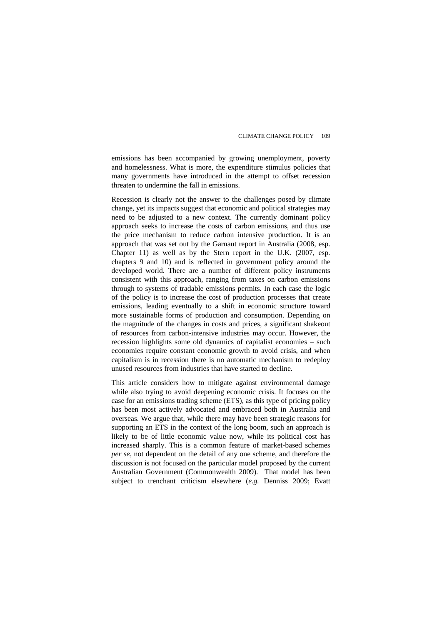emissions has been accompanied by growing unemployment, poverty and homelessness. What is more, the expenditure stimulus policies that many governments have introduced in the attempt to offset recession threaten to undermine the fall in emissions.

Recession is clearly not the answer to the challenges posed by climate change, yet its impacts suggest that economic and political strategies may need to be adjusted to a new context. The currently dominant policy approach seeks to increase the costs of carbon emissions, and thus use the price mechanism to reduce carbon intensive production. It is an approach that was set out by the Garnaut report in Australia (2008, esp. Chapter 11) as well as by the Stern report in the U.K. (2007, esp. chapters 9 and 10) and is reflected in government policy around the developed world. There are a number of different policy instruments consistent with this approach, ranging from taxes on carbon emissions through to systems of tradable emissions permits. In each case the logic of the policy is to increase the cost of production processes that create emissions, leading eventually to a shift in economic structure toward more sustainable forms of production and consumption. Depending on the magnitude of the changes in costs and prices, a significant shakeout of resources from carbon-intensive industries may occur. However, the recession highlights some old dynamics of capitalist economies – such economies require constant economic growth to avoid crisis, and when capitalism is in recession there is no automatic mechanism to redeploy unused resources from industries that have started to decline.

This article considers how to mitigate against environmental damage while also trying to avoid deepening economic crisis. It focuses on the case for an emissions trading scheme (ETS), as this type of pricing policy has been most actively advocated and embraced both in Australia and overseas. We argue that, while there may have been strategic reasons for supporting an ETS in the context of the long boom, such an approach is likely to be of little economic value now, while its political cost has increased sharply. This is a common feature of market-based schemes *per se*, not dependent on the detail of any one scheme, and therefore the discussion is not focused on the particular model proposed by the current Australian Government (Commonwealth 2009). That model has been subject to trenchant criticism elsewhere (*e.g.* Denniss 2009; Evatt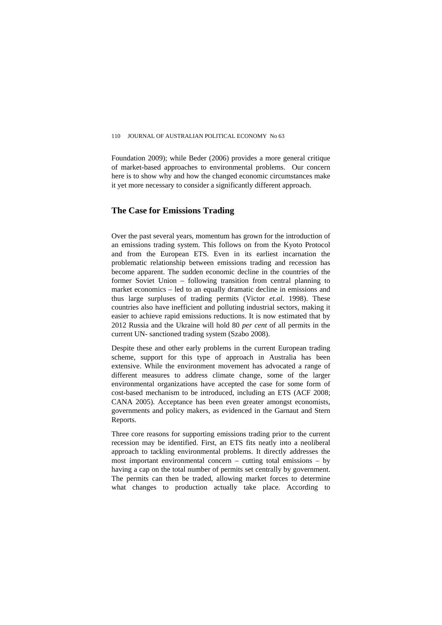Foundation 2009); while Beder (2006) provides a more general critique of market-based approaches to environmental problems. Our concern here is to show why and how the changed economic circumstances make it yet more necessary to consider a significantly different approach.

## **The Case for Emissions Trading**

Over the past several years, momentum has grown for the introduction of an emissions trading system. This follows on from the Kyoto Protocol and from the European ETS. Even in its earliest incarnation the problematic relationship between emissions trading and recession has become apparent. The sudden economic decline in the countries of the former Soviet Union – following transition from central planning to market economics – led to an equally dramatic decline in emissions and thus large surpluses of trading permits (Victor *et.al*. 1998). These countries also have inefficient and polluting industrial sectors, making it easier to achieve rapid emissions reductions. It is now estimated that by 2012 Russia and the Ukraine will hold 80 *per cent* of all permits in the current UN- sanctioned trading system (Szabo 2008).

Despite these and other early problems in the current European trading scheme, support for this type of approach in Australia has been extensive. While the environment movement has advocated a range of different measures to address climate change, some of the larger environmental organizations have accepted the case for some form of cost-based mechanism to be introduced, including an ETS (ACF 2008; CANA 2005). Acceptance has been even greater amongst economists, governments and policy makers, as evidenced in the Garnaut and Stern Reports.

Three core reasons for supporting emissions trading prior to the current recession may be identified. First, an ETS fits neatly into a neoliberal approach to tackling environmental problems. It directly addresses the most important environmental concern – cutting total emissions – by having a cap on the total number of permits set centrally by government. The permits can then be traded, allowing market forces to determine what changes to production actually take place. According to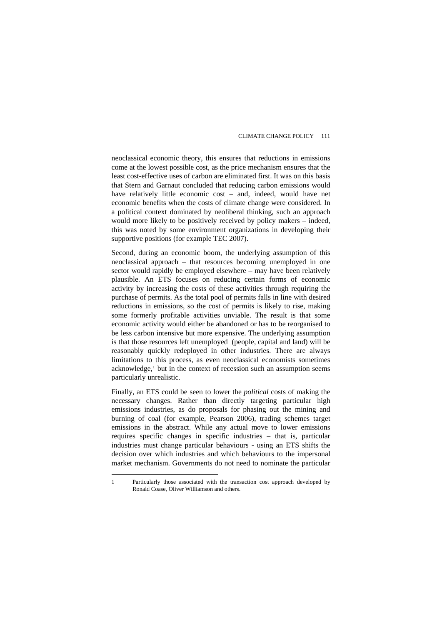neoclassical economic theory, this ensures that reductions in emissions come at the lowest possible cost, as the price mechanism ensures that the least cost-effective uses of carbon are eliminated first. It was on this basis that Stern and Garnaut concluded that reducing carbon emissions would have relatively little economic cost – and, indeed, would have net economic benefits when the costs of climate change were considered. In a political context dominated by neoliberal thinking, such an approach would more likely to be positively received by policy makers – indeed, this was noted by some environment organizations in developing their supportive positions (for example TEC 2007).

Second, during an economic boom, the underlying assumption of this neoclassical approach – that resources becoming unemployed in one sector would rapidly be employed elsewhere – may have been relatively plausible. An ETS focuses on reducing certain forms of economic activity by increasing the costs of these activities through requiring the purchase of permits. As the total pool of permits falls in line with desired reductions in emissions, so the cost of permits is likely to rise, making some formerly profitable activities unviable. The result is that some economic activity would either be abandoned or has to be reorganised to be less carbon intensive but more expensive. The underlying assumption is that those resources left unemployed (people, capital and land) will be reasonably quickly redeployed in other industries. There are always limitations to this process, as even neoclassical economists sometimes acknowledge,<sup>[1](#page-3-0)</sup> but in the context of recession such an assumption seems particularly unrealistic.

Finally, an ETS could be seen to lower the *political* costs of making the necessary changes. Rather than directly targeting particular high emissions industries, as do proposals for phasing out the mining and burning of coal (for example, Pearson 2006), trading schemes target emissions in the abstract. While any actual move to lower emissions requires specific changes in specific industries – that is, particular industries must change particular behaviours - using an ETS shifts the decision over which industries and which behaviours to the impersonal market mechanism. Governments do not need to nominate the particular

 $\overline{a}$ 

<span id="page-3-0"></span><sup>1</sup> Particularly those associated with the transaction cost approach developed by Ronald Coase, Oliver Williamson and others.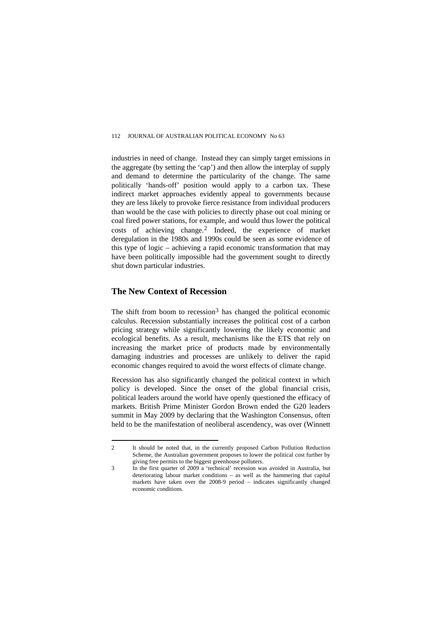industries in need of change. Instead they can simply target emissions in the aggregate (by setting the 'cap') and then allow the interplay of supply and demand to determine the particularity of the change. The same politically 'hands-off' position would apply to a carbon tax. These indirect market approaches evidently appeal to governments because they are less likely to provoke fierce resistance from individual producers than would be the case with policies to directly phase out coal mining or coal fired power stations, for example, and would thus lower the political costs of achieving change.[2](#page-4-0) Indeed, the experience of market deregulation in the 1980s and 1990s could be seen as some evidence of this type of logic – achieving a rapid economic transformation that may have been politically impossible had the government sought to directly shut down particular industries.

#### **The New Context of Recession**

 $\overline{a}$ 

The shift from boom to recession<sup>[3](#page-4-1)</sup> has changed the political economic calculus. Recession substantially increases the political cost of a carbon pricing strategy while significantly lowering the likely economic and ecological benefits. As a result, mechanisms like the ETS that rely on increasing the market price of products made by environmentally damaging industries and processes are unlikely to deliver the rapid economic changes required to avoid the worst effects of climate change.

Recession has also significantly changed the political context in which policy is developed. Since the onset of the global financial crisis, political leaders around the world have openly questioned the efficacy of markets. British Prime Minister Gordon Brown ended the G20 leaders summit in May 2009 by declaring that the Washington Consensus, often held to be the manifestation of neoliberal ascendency, was over (Winnett

<span id="page-4-0"></span><sup>2</sup> It should be noted that, in the currently proposed Carbon Pollution Reduction Scheme, the Australian government proposes to lower the political cost further by giving free permits to the biggest greenhouse polluters.

<span id="page-4-1"></span><sup>3</sup> In the first quarter of 2009 a 'technical' recession was avoided in Australia, but deteriorating labour market conditions – as well as the hammering that capital markets have taken over the 2008-9 period – indicates significantly changed economic conditions.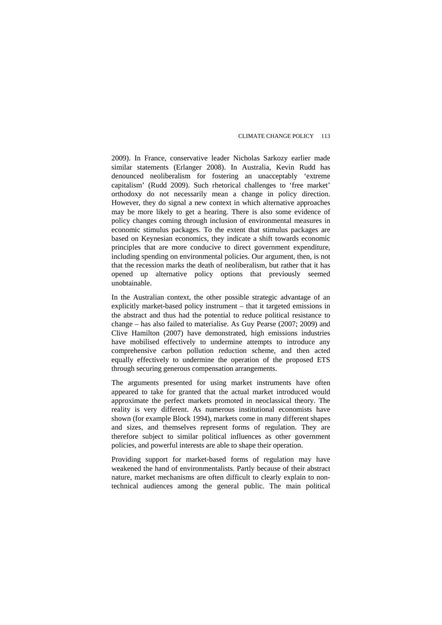2009). In France, conservative leader Nicholas Sarkozy earlier made similar statements (Erlanger 2008). In Australia, Kevin Rudd has denounced neoliberalism for fostering an unacceptably 'extreme capitalism' (Rudd 2009). Such rhetorical challenges to 'free market' orthodoxy do not necessarily mean a change in policy direction. However, they do signal a new context in which alternative approaches may be more likely to get a hearing. There is also some evidence of policy changes coming through inclusion of environmental measures in economic stimulus packages. To the extent that stimulus packages are based on Keynesian economics, they indicate a shift towards economic principles that are more conducive to direct government expenditure, including spending on environmental policies. Our argument, then, is not that the recession marks the death of neoliberalism, but rather that it has opened up alternative policy options that previously seemed unobtainable.

In the Australian context, the other possible strategic advantage of an explicitly market-based policy instrument – that it targeted emissions in the abstract and thus had the potential to reduce political resistance to change – has also failed to materialise. As Guy Pearse (2007; 2009) and Clive Hamilton (2007) have demonstrated, high emissions industries have mobilised effectively to undermine attempts to introduce any comprehensive carbon pollution reduction scheme, and then acted equally effectively to undermine the operation of the proposed ETS through securing generous compensation arrangements.

The arguments presented for using market instruments have often appeared to take for granted that the actual market introduced would approximate the perfect markets promoted in neoclassical theory. The reality is very different. As numerous institutional economists have shown (for example Block 1994), markets come in many different shapes and sizes, and themselves represent forms of regulation. They are therefore subject to similar political influences as other government policies, and powerful interests are able to shape their operation.

Providing support for market-based forms of regulation may have weakened the hand of environmentalists. Partly because of their abstract nature, market mechanisms are often difficult to clearly explain to nontechnical audiences among the general public. The main political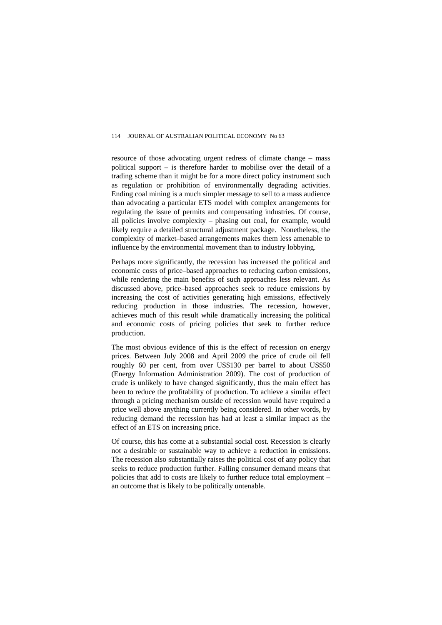resource of those advocating urgent redress of climate change – mass political support – is therefore harder to mobilise over the detail of a trading scheme than it might be for a more direct policy instrument such as regulation or prohibition of environmentally degrading activities. Ending coal mining is a much simpler message to sell to a mass audience than advocating a particular ETS model with complex arrangements for regulating the issue of permits and compensating industries. Of course, all policies involve complexity – phasing out coal, for example, would likely require a detailed structural adjustment package. Nonetheless, the complexity of market–based arrangements makes them less amenable to influence by the environmental movement than to industry lobbying.

Perhaps more significantly, the recession has increased the political and economic costs of price–based approaches to reducing carbon emissions, while rendering the main benefits of such approaches less relevant. As discussed above, price–based approaches seek to reduce emissions by increasing the cost of activities generating high emissions, effectively reducing production in those industries. The recession, however, achieves much of this result while dramatically increasing the political and economic costs of pricing policies that seek to further reduce production.

The most obvious evidence of this is the effect of recession on energy prices. Between July 2008 and April 2009 the price of crude oil fell roughly 60 per cent, from over US\$130 per barrel to about US\$50 (Energy Information Administration 2009). The cost of production of crude is unlikely to have changed significantly, thus the main effect has been to reduce the profitability of production. To achieve a similar effect through a pricing mechanism outside of recession would have required a price well above anything currently being considered. In other words, by reducing demand the recession has had at least a similar impact as the effect of an ETS on increasing price.

Of course, this has come at a substantial social cost. Recession is clearly not a desirable or sustainable way to achieve a reduction in emissions. The recession also substantially raises the political cost of any policy that seeks to reduce production further. Falling consumer demand means that policies that add to costs are likely to further reduce total employment – an outcome that is likely to be politically untenable.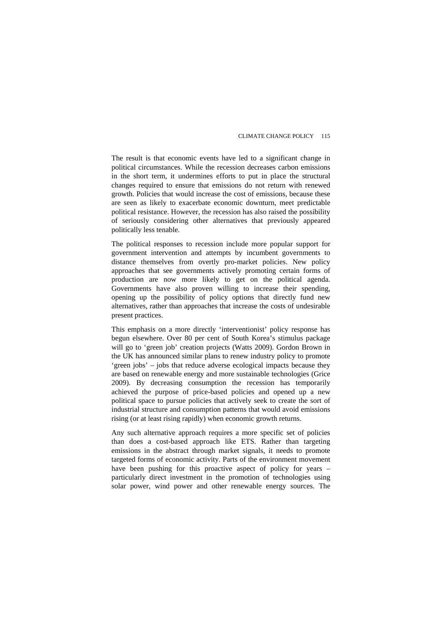The result is that economic events have led to a significant change in political circumstances. While the recession decreases carbon emissions in the short term, it undermines efforts to put in place the structural changes required to ensure that emissions do not return with renewed growth. Policies that would increase the cost of emissions, because these are seen as likely to exacerbate economic downturn, meet predictable political resistance. However, the recession has also raised the possibility of seriously considering other alternatives that previously appeared politically less tenable.

The political responses to recession include more popular support for government intervention and attempts by incumbent governments to distance themselves from overtly pro-market policies. New policy approaches that see governments actively promoting certain forms of production are now more likely to get on the political agenda. Governments have also proven willing to increase their spending, opening up the possibility of policy options that directly fund new alternatives, rather than approaches that increase the costs of undesirable present practices.

This emphasis on a more directly 'interventionist' policy response has begun elsewhere. Over 80 per cent of South Korea's stimulus package will go to 'green job' creation projects (Watts 2009). Gordon Brown in the UK has announced similar plans to renew industry policy to promote 'green jobs' – jobs that reduce adverse ecological impacts because they are based on renewable energy and more sustainable technologies (Grice 2009). By decreasing consumption the recession has temporarily achieved the purpose of price-based policies and opened up a new political space to pursue policies that actively seek to create the sort of industrial structure and consumption patterns that would avoid emissions rising (or at least rising rapidly) when economic growth returns.

Any such alternative approach requires a more specific set of policies than does a cost-based approach like ETS. Rather than targeting emissions in the abstract through market signals, it needs to promote targeted forms of economic activity. Parts of the environment movement have been pushing for this proactive aspect of policy for years – particularly direct investment in the promotion of technologies using solar power, wind power and other renewable energy sources. The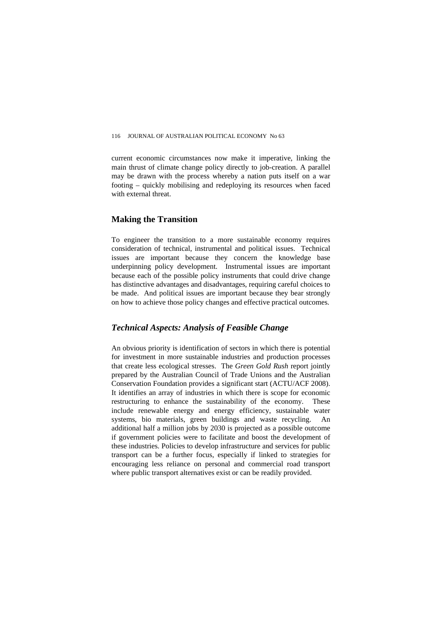current economic circumstances now make it imperative, linking the main thrust of climate change policy directly to job-creation. A parallel may be drawn with the process whereby a nation puts itself on a war footing – quickly mobilising and redeploying its resources when faced with external threat.

## **Making the Transition**

To engineer the transition to a more sustainable economy requires consideration of technical, instrumental and political issues. Technical issues are important because they concern the knowledge base underpinning policy development. Instrumental issues are important because each of the possible policy instruments that could drive change has distinctive advantages and disadvantages, requiring careful choices to be made. And political issues are important because they bear strongly on how to achieve those policy changes and effective practical outcomes.

## *Technical Aspects: Analysis of Feasible Change*

An obvious priority is identification of sectors in which there is potential for investment in more sustainable industries and production processes that create less ecological stresses. The *Green Gold Rush* report jointly prepared by the Australian Council of Trade Unions and the Australian Conservation Foundation provides a significant start (ACTU/ACF 2008). It identifies an array of industries in which there is scope for economic restructuring to enhance the sustainability of the economy. These include renewable energy and energy efficiency, sustainable water systems, bio materials, green buildings and waste recycling. An additional half a million jobs by 2030 is projected as a possible outcome if government policies were to facilitate and boost the development of these industries. Policies to develop infrastructure and services for public transport can be a further focus, especially if linked to strategies for encouraging less reliance on personal and commercial road transport where public transport alternatives exist or can be readily provided.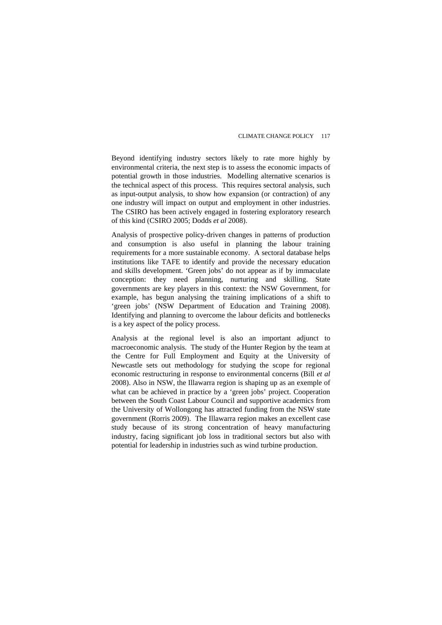Beyond identifying industry sectors likely to rate more highly by environmental criteria, the next step is to assess the economic impacts of potential growth in those industries. Modelling alternative scenarios is the technical aspect of this process. This requires sectoral analysis, such as input-output analysis, to show how expansion (or contraction) of any one industry will impact on output and employment in other industries. The CSIRO has been actively engaged in fostering exploratory research of this kind (CSIRO 2005; Dodds *et al* 2008).

Analysis of prospective policy-driven changes in patterns of production and consumption is also useful in planning the labour training requirements for a more sustainable economy. A sectoral database helps institutions like TAFE to identify and provide the necessary education and skills development. 'Green jobs' do not appear as if by immaculate conception: they need planning, nurturing and skilling. State governments are key players in this context: the NSW Government, for example, has begun analysing the training implications of a shift to 'green jobs' (NSW Department of Education and Training 2008). Identifying and planning to overcome the labour deficits and bottlenecks is a key aspect of the policy process.

Analysis at the regional level is also an important adjunct to macroeconomic analysis. The study of the Hunter Region by the team at the Centre for Full Employment and Equity at the University of Newcastle sets out methodology for studying the scope for regional economic restructuring in response to environmental concerns (Bill *et al* 2008). Also in NSW, the Illawarra region is shaping up as an exemple of what can be achieved in practice by a 'green jobs' project. Cooperation between the South Coast Labour Council and supportive academics from the University of Wollongong has attracted funding from the NSW state government (Rorris 2009). The Illawarra region makes an excellent case study because of its strong concentration of heavy manufacturing industry, facing significant job loss in traditional sectors but also with potential for leadership in industries such as wind turbine production.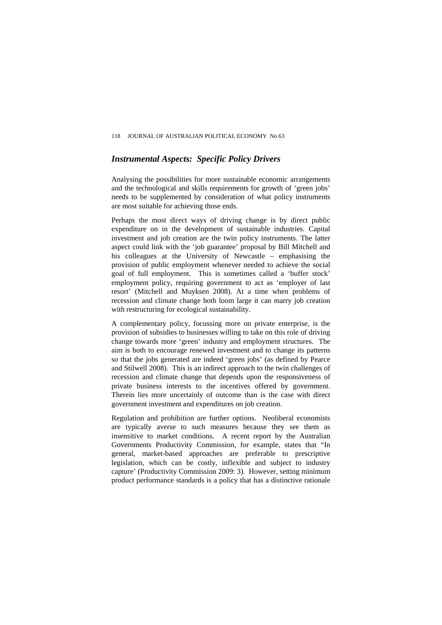## *Instrumental Aspects: Specific Policy Drivers*

Analysing the possibilities for more sustainable economic arrangements and the technological and skills requirements for growth of 'green jobs' needs to be supplemented by consideration of what policy instruments are most suitable for achieving those ends.

Perhaps the most direct ways of driving change is by direct public expenditure on in the development of sustainable industries. Capital investment and job creation are the twin policy instruments. The latter aspect could link with the 'job guarantee' proposal by Bill Mitchell and his colleagues at the University of Newcastle – emphasising the provision of public employment whenever needed to achieve the social goal of full employment. This is sometimes called a 'buffer stock' employment policy, requiring government to act as 'employer of last resort' (Mitchell and Muyksen 2008). At a time when problems of recession and climate change both loom large it can marry job creation with restructuring for ecological sustainability.

A complementary policy, focussing more on private enterprise, is the provision of subsidies to businesses willing to take on this role of driving change towards more 'green' industry and employment structures. The aim is both to encourage renewed investment and to change its patterns so that the jobs generated are indeed 'green jobs' (as defined by Pearce and Stilwell 2008). This is an indirect approach to the twin challenges of recession and climate change that depends upon the responsiveness of private business interests to the incentives offered by government. Therein lies more uncertainly of outcome than is the case with direct government investment and expenditures on job creation.

Regulation and prohibition are further options. Neoliberal economists are typically averse to such measures because they see them as insensitive to market conditions. A recent report by the Australian Governments Productivity Commission, for example, states that "In general, market-based approaches are preferable to prescriptive legislation, which can be costly, inflexible and subject to industry capture' (Productivity Commission 2009: 3). However, setting minimum product performance standards is a policy that has a distinctive rationale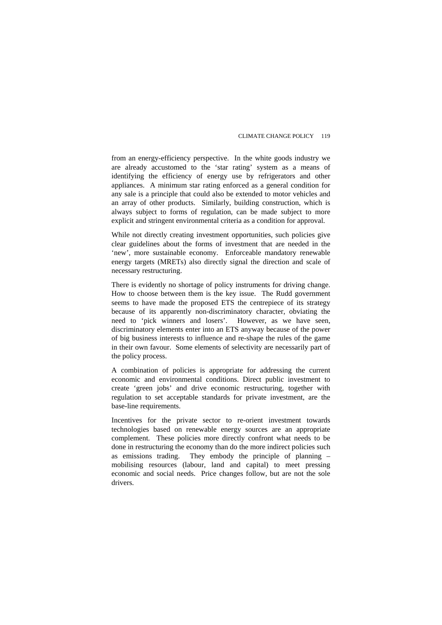from an energy-efficiency perspective. In the white goods industry we are already accustomed to the 'star rating' system as a means of identifying the efficiency of energy use by refrigerators and other appliances. A minimum star rating enforced as a general condition for any sale is a principle that could also be extended to motor vehicles and an array of other products. Similarly, building construction, which is always subject to forms of regulation, can be made subject to more explicit and stringent environmental criteria as a condition for approval.

While not directly creating investment opportunities, such policies give clear guidelines about the forms of investment that are needed in the 'new', more sustainable economy. Enforceable mandatory renewable energy targets (MRETs) also directly signal the direction and scale of necessary restructuring.

There is evidently no shortage of policy instruments for driving change. How to choose between them is the key issue. The Rudd government seems to have made the proposed ETS the centrepiece of its strategy because of its apparently non-discriminatory character, obviating the need to 'pick winners and losers'. However, as we have seen, discriminatory elements enter into an ETS anyway because of the power of big business interests to influence and re-shape the rules of the game in their own favour. Some elements of selectivity are necessarily part of the policy process.

A combination of policies is appropriate for addressing the current economic and environmental conditions. Direct public investment to create 'green jobs' and drive economic restructuring, together with regulation to set acceptable standards for private investment, are the base-line requirements.

Incentives for the private sector to re-orient investment towards technologies based on renewable energy sources are an appropriate complement. These policies more directly confront what needs to be done in restructuring the economy than do the more indirect policies such as emissions trading. They embody the principle of planning – mobilising resources (labour, land and capital) to meet pressing economic and social needs. Price changes follow, but are not the sole drivers.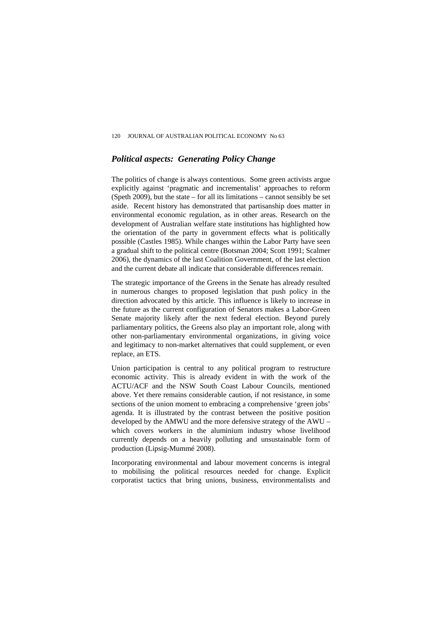#### *Political aspects: Generating Policy Change*

The politics of change is always contentious. Some green activists argue explicitly against 'pragmatic and incrementalist' approaches to reform (Speth 2009), but the state – for all its limitations – cannot sensibly be set aside. Recent history has demonstrated that partisanship does matter in environmental economic regulation, as in other areas. Research on the development of Australian welfare state institutions has highlighted how the orientation of the party in government effects what is politically possible (Castles 1985). While changes within the Labor Party have seen a gradual shift to the political centre (Botsman 2004; Scott 1991; Scalmer 2006), the dynamics of the last Coalition Government, of the last election and the current debate all indicate that considerable differences remain.

The strategic importance of the Greens in the Senate has already resulted in numerous changes to proposed legislation that push policy in the direction advocated by this article. This influence is likely to increase in the future as the current configuration of Senators makes a Labor-Green Senate majority likely after the next federal election. Beyond purely parliamentary politics, the Greens also play an important role, along with other non-parliamentary environmental organizations, in giving voice and legitimacy to non-market alternatives that could supplement, or even replace, an ETS.

Union participation is central to any political program to restructure economic activity. This is already evident in with the work of the ACTU/ACF and the NSW South Coast Labour Councils, mentioned above. Yet there remains considerable caution, if not resistance, in some sections of the union moment to embracing a comprehensive 'green jobs' agenda. It is illustrated by the contrast between the positive position developed by the AMWU and the more defensive strategy of the AWU – which covers workers in the aluminium industry whose livelihood currently depends on a heavily polluting and unsustainable form of production (Lipsig-Mummé 2008).

Incorporating environmental and labour movement concerns is integral to mobilising the political resources needed for change. Explicit corporatist tactics that bring unions, business, environmentalists and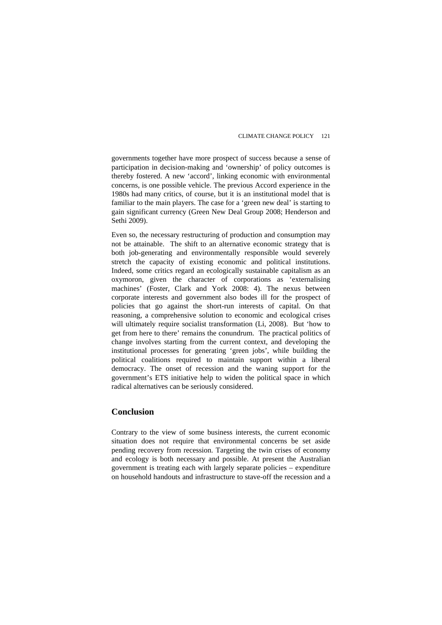governments together have more prospect of success because a sense of participation in decision-making and 'ownership' of policy outcomes is thereby fostered. A new 'accord', linking economic with environmental concerns, is one possible vehicle. The previous Accord experience in the 1980s had many critics, of course, but it is an institutional model that is familiar to the main players. The case for a 'green new deal' is starting to gain significant currency (Green New Deal Group 2008; Henderson and Sethi 2009).

Even so, the necessary restructuring of production and consumption may not be attainable. The shift to an alternative economic strategy that is both job-generating and environmentally responsible would severely stretch the capacity of existing economic and political institutions. Indeed, some critics regard an ecologically sustainable capitalism as an oxymoron, given the character of corporations as 'externalising machines' (Foster, Clark and York 2008: 4). The nexus between corporate interests and government also bodes ill for the prospect of policies that go against the short-run interests of capital. On that reasoning, a comprehensive solution to economic and ecological crises will ultimately require socialist transformation (Li, 2008). But 'how to get from here to there' remains the conundrum. The practical politics of change involves starting from the current context, and developing the institutional processes for generating 'green jobs', while building the political coalitions required to maintain support within a liberal democracy. The onset of recession and the waning support for the government's ETS initiative help to widen the political space in which radical alternatives can be seriously considered.

## **Conclusion**

Contrary to the view of some business interests, the current economic situation does not require that environmental concerns be set aside pending recovery from recession. Targeting the twin crises of economy and ecology is both necessary and possible. At present the Australian government is treating each with largely separate policies – expenditure on household handouts and infrastructure to stave-off the recession and a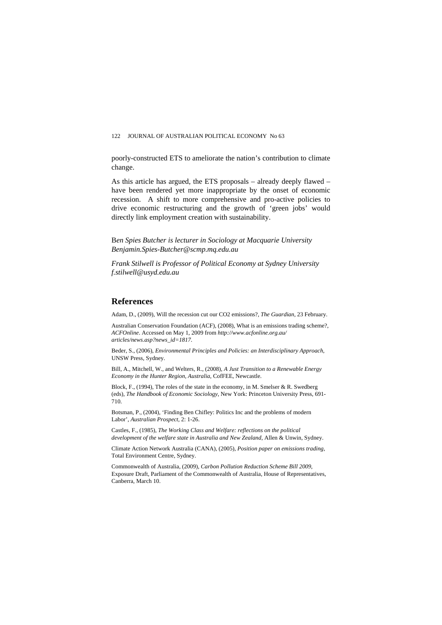#### 122 JOURNAL OF AUSTRALIAN POLITICAL ECONOMY No 63

poorly-constructed ETS to ameliorate the nation's contribution to climate change.

As this article has argued, the ETS proposals – already deeply flawed – have been rendered yet more inappropriate by the onset of economic recession. A shift to more comprehensive and pro-active policies to drive economic restructuring and the growth of 'green jobs' would directly link employment creation with sustainability.

B*en Spies Butcher is lecturer in Sociology at Macquarie University Benjamin.Spies-Butcher@scmp.mq.edu.au* 

*Frank Stilwell is Professor of Political Economy at Sydney University [f.stilwell@usyd.edu.au](mailto:f.stilwell@usyd.edu.au)* 

#### **References**

Adam, D., (2009), Will the recession cut our CO2 emissions?, *The Guardian*, 23 February.

Australian Conservation Foundation (ACF), (2008), What is an emissions trading scheme?, *ACFOnline*. Accessed on May 1, 2009 from *<http://www.acfonline.org.au/> articles/news.asp?news\_id=1817.* 

Beder, S., (2006), *Environmental Principles and Policies: an Interdisciplinary Approach,* UNSW Press, Sydney.

Bill, A., Mitchell, W., and Welters, R., (2008), *A Just Transition to a Renewable Energy Economy in the Hunter Region, Australia*, CofFEE, Newcastle.

Block, F., (1994), The roles of the state in the economy, in M. Smelser & R. Swedberg (eds), *The Handbook of Economic Sociology*, New York: Princeton University Press, 691- 710.

Botsman, P., (2004), 'Finding Ben Chifley: Politics Inc and the problems of modern Labor', *Australian Prospect*, 2: 1-26.

Castles, F., (1985), *The Working Class and Welfare: reflections on the political development of the welfare state in Australia and New Zealand*, Allen & Unwin, Sydney.

Climate Action Network Australia (CANA), (2005), *Position paper on emissions trading*, Total Environment Centre, Sydney.

Commonwealth of Australia, (2009), *Carbon Pollution Reduction Scheme Bill 2009*, Exposure Draft, Parliament of the Commonwealth of Australia, House of Representatives, Canberra, March 10.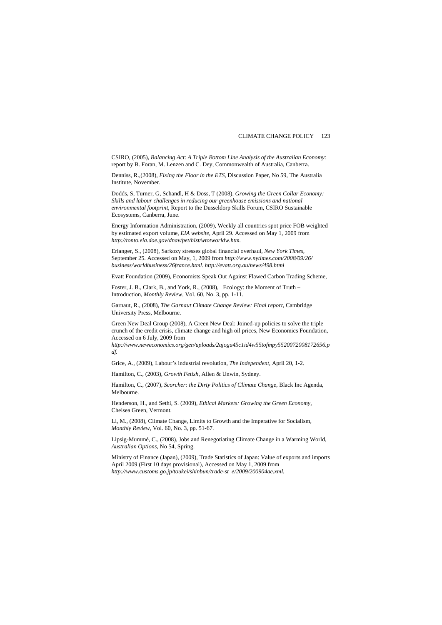#### CLIMATE CHANGE POLICY 123

CSIRO, (2005), *Balancing Act*: *A Triple Bottom Line Analysis of the Australian Economy:* report by B. Foran, M. Lenzen and C. Dey, Commonwealth of Australia, Canberra.

Denniss, R.,(2008), *Fixing the Floor in the ETS*, Discussion Paper, No 59, The Australia Institute, November.

Dodds, S, Turner, G, Schandl, H & Doss, T (2008), *Growing the Green Collar Economy: Skills and labour challenges in reducing our greenhouse emissions and national environmental footprint*, Report to the Dusseldorp Skills Forum, CSIRO Sustainable Ecosystems, Canberra, June.

Energy Information Administration, (2009), Weekly all countries spot price FOB weighted by estimated export volume, *EIA website*, April 29. Accessed on May 1, 2009 from *http://tonto.eia.doe.gov/dnav/pet/hist/wtotworldw.htm.* 

Erlanger, S., (2008), Sarkozy stresses global financial overhaul, *New York Times*, September 25. Accessed on May, 1, 2009 from *<http://www.nytimes.com/2008/09/26/> business/worldbusiness/26france.html.<http://evatt.org.au/news/498.html>*

Evatt Foundation (2009), Economists Speak Out Against Flawed Carbon Trading Scheme,

Foster, J. B., Clark, B., and York, R., (2008), Ecology: the Moment of Truth – Introduction, *Monthly Review*, Vol. 60, No. 3, pp. 1-11.

Garnaut, R., (2008), *The Garnaut Climate Change Review: Final report*, Cambridge University Press, Melbourne.

Green New Deal Group (2008), A Green New Deal: Joined-up policies to solve the triple crunch of the credit crisis, climate change and high oil prices, New Economics Foundation, Accessed on 6 July, 2009 from

*http://www.neweconomics.org/gen/uploads/2ajogu45c1id4w55tofmpy5520072008172656.p df.*

Grice, A., (2009), Labour's industrial revolution, *The Independent*, April 20, 1-2.

Hamilton, C., (2003), *Growth Fetish*, Allen & Unwin, Sydney.

Hamilton, C., (2007), *Scorcher: the Dirty Politics of Climate Change*, Black Inc Agenda, Melbourne.

Henderson, H., and Sethi, S. (2009), *Ethical Markets: Growing the Green Economy*, Chelsea Green, Vermont.

Li, M., (2008), Climate Change, Limits to Growth and the Imperative for Socialism, *Monthly Review*, Vol. 60, No. 3, pp. 51-67.

Lipsig-Mummé, C., (2008), Jobs and Renegotiating Climate Change in a Warming World, *Australian Options,* No 54, Spring.

Ministry of Finance (Japan), (2009), Trade Statistics of Japan: Value of exports and imports April 2009 (First 10 days provisional), Accessed on May 1, 2009 from *http://www.customs.go.jp/toukei/shinbun/trade-st\_e/2009/200904ae.xml.*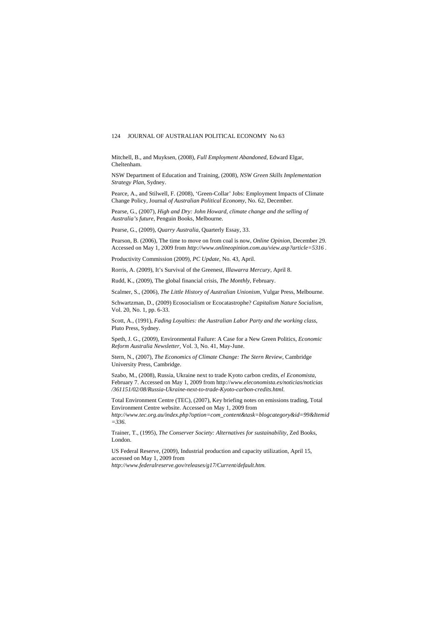#### 124 JOURNAL OF AUSTRALIAN POLITICAL ECONOMY No 63

Mitchell, B., and Muyksen, (2008), *Full Employment Abandoned*, Edward Elgar, Cheltenham.

NSW Department of Education and Training, (2008), *NSW Green Skills Implementation Strategy Plan*, Sydney.

Pearce, A., and Stilwell, F. (2008), 'Green-Collar' Jobs: Employment Impacts of Climate Change Policy, Journal *of Australian Political Economy*, No. 62, December.

Pearse, G., (2007), *High and Dry: John Howard, climate change and the selling of Australia's future*, Penguin Books, Melbourne.

Pearse, G., (2009), *Quarry Australia*, Quarterly Essay, 33.

Pearson, B. (2006), The time to move on from coal is now, *Online Opinion*, December 29. Accessed on May 1, 2009 from *<http://www.onlineopinion.com.au/view.asp?article=5316> .* 

Productivity Commission (2009), *PC Update*, No. 43, April.

Rorris, A. (2009), It's Survival of the Greenest, *Illawarra Mercury*, April 8.

Rudd, K., (2009), The global financial crisis, *The Monthly,* February.

Scalmer, S., (2006), *The Little History of Australian Unionism*, Vulgar Press, Melbourne.

Schwartzman, D., (2009) Ecosocialism or Ecocatastrophe? *Capitalism Nature Socialism*, Vol. 20, No. 1, pp. 6-33.

Scott, A., (1991), *Fading Loyalties: the Australian Labor Party and the working class*, Pluto Press, Sydney.

Speth, J. G., (2009), Environmental Failure: A Case for a New Green Politics, *Economic Reform Australia Newsletter,* Vol. 3, No. 41, May-June.

Stern, N., (2007), *The Economics of Climate Change: The Stern Review*, Cambridge University Press, Cambridge.

Szabo, M., (2008), Russia, Ukraine next to trade Kyoto carbon credits, *el Economista*, February 7. Accessed on May 1, 2009 from http://*www.eleconomista.es/noticias/noticias /361151/02/08/Russia-Ukraine-next-to-trade-Kyoto-carbon-credits.html.* 

Total Environment Centre (TEC), (2007), Key briefing notes on emissions trading, Total Environment Centre website. Accessed on May 1, 2009 from

*http://www.tec.org.au/index.php?option=com\_content&task=blogcategory&id=99&Itemid =336.* 

Trainer, T., (1995), *The Conserver Society: Alternatives for sustainability*, Zed Books, London.

US Federal Reserve, (2009), Industrial production and capacity utilization, April 15, accessed on May 1, 2009 from *http://www.federalreserve.gov/releases/g17/Current/default.htm.*